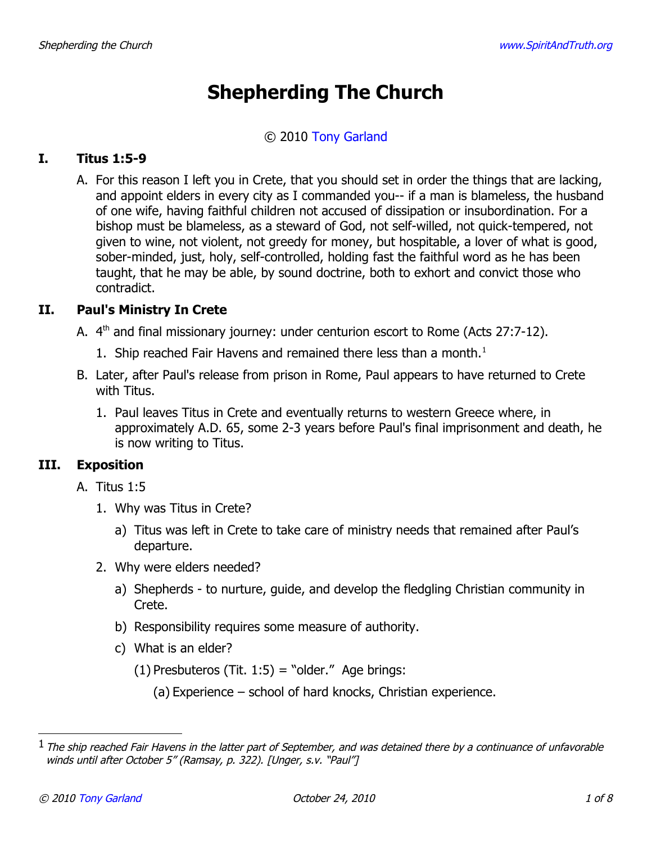# **Shepherding The Church**

#### © 2010 [Tony Garland](http://www.spiritandtruth.org/id/tg.htm)

## **I. Titus 1:5-9**

A. For this reason I left you in Crete, that you should set in order the things that are lacking, and appoint elders in every city as I commanded you-- if a man is blameless, the husband of one wife, having faithful children not accused of dissipation or insubordination. For a bishop must be blameless, as a steward of God, not self-willed, not quick-tempered, not given to wine, not violent, not greedy for money, but hospitable, a lover of what is good, sober-minded, just, holy, self-controlled, holding fast the faithful word as he has been taught, that he may be able, by sound doctrine, both to exhort and convict those who contradict.

# **II. Paul's Ministry In Crete**

- A.  $4<sup>th</sup>$  and final missionary journey: under centurion escort to Rome (Acts 27:7-12).
	- [1](#page-0-0). Ship reached Fair Havens and remained there less than a month.<sup>1</sup>
- B. Later, after Paul's release from prison in Rome, Paul appears to have returned to Crete with Titus.
	- 1. Paul leaves Titus in Crete and eventually returns to western Greece where, in approximately A.D. 65, some 2-3 years before Paul's final imprisonment and death, he is now writing to Titus.

## **III. Exposition**

- A. Titus 1:5
	- 1. Why was Titus in Crete?
		- a) Titus was left in Crete to take care of ministry needs that remained after Paul's departure.
	- 2. Why were elders needed?
		- a) Shepherds to nurture, guide, and develop the fledgling Christian community in Crete.
		- b) Responsibility requires some measure of authority.
		- c) What is an elder?
			- $(1)$  Presbuteros (Tit. 1:5) = "older." Age brings:
				- (a) Experience school of hard knocks, Christian experience.

<span id="page-0-0"></span> $^1$  The ship reached Fair Havens in the latter part of September, and was detained there by a continuance of unfavorable winds until after October 5" (Ramsay, p. 322). [Unger, s.v. "Paul"]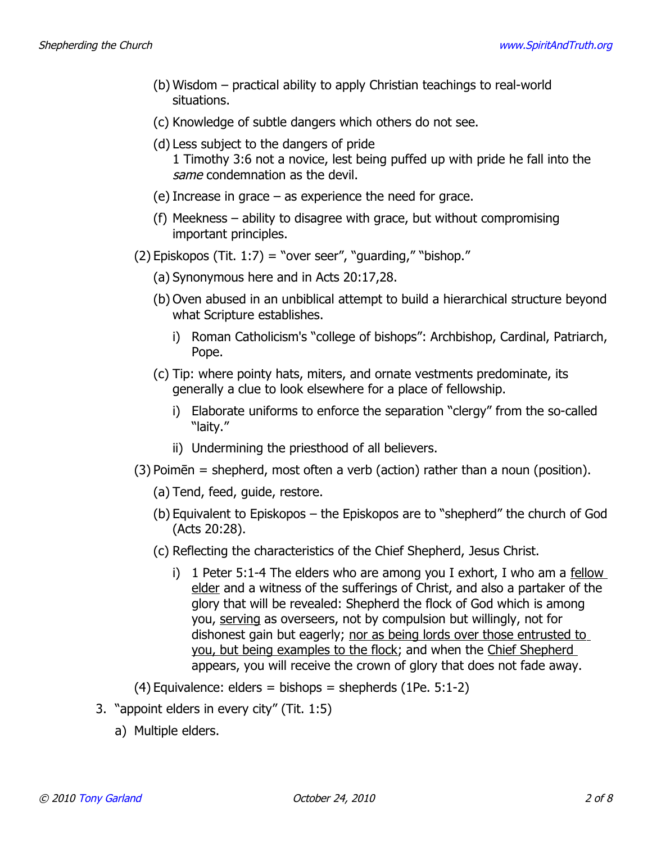- (b) Wisdom practical ability to apply Christian teachings to real-world situations.
- (c) Knowledge of subtle dangers which others do not see.
- (d) Less subject to the dangers of pride 1 Timothy 3:6 not a novice, lest being puffed up with pride he fall into the same condemnation as the devil.
- (e) Increase in grace as experience the need for grace.
- (f) Meekness ability to disagree with grace, but without compromising important principles.
- $(2)$  Episkopos (Tit. 1:7) = "over seer", "guarding," "bishop."
	- (a) Synonymous here and in Acts 20:17,28.
	- (b) Oven abused in an unbiblical attempt to build a hierarchical structure beyond what Scripture establishes.
		- i) Roman Catholicism's "college of bishops": Archbishop, Cardinal, Patriarch, Pope.
	- (c) Tip: where pointy hats, miters, and ornate vestments predominate, its generally a clue to look elsewhere for a place of fellowship.
		- i) Elaborate uniforms to enforce the separation "clergy" from the so-called "laity."
		- ii) Undermining the priesthood of all believers.
- (3) Poimēn = shepherd, most often a verb (action) rather than a noun (position).
	- (a) Tend, feed, guide, restore.
	- (b) Equivalent to Episkopos the Episkopos are to "shepherd" the church of God (Acts 20:28).
	- (c) Reflecting the characteristics of the Chief Shepherd, Jesus Christ.
		- i) 1 Peter 5:1-4 The elders who are among you I exhort, I who am a fellow elder and a witness of the sufferings of Christ, and also a partaker of the glory that will be revealed: Shepherd the flock of God which is among you, serving as overseers, not by compulsion but willingly, not for dishonest gain but eagerly; nor as being lords over those entrusted to you, but being examples to the flock; and when the Chief Shepherd appears, you will receive the crown of glory that does not fade away.

 $(4)$  Equivalence: elders = bishops = shepherds  $(1Pe. 5:1-2)$ 

- 3. "appoint elders in every city" (Tit. 1:5)
	- a) Multiple elders.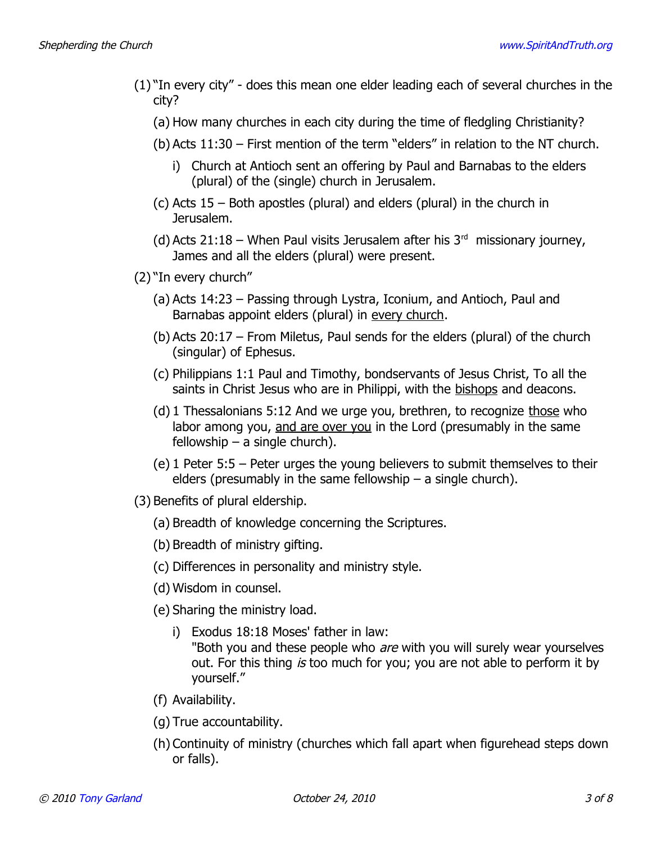- (1) "In every city" does this mean one elder leading each of several churches in the city?
	- (a) How many churches in each city during the time of fledgling Christianity?
	- (b) Acts 11:30 First mention of the term "elders" in relation to the NT church.
		- i) Church at Antioch sent an offering by Paul and Barnabas to the elders (plural) of the (single) church in Jerusalem.
	- (c) Acts 15 Both apostles (plural) and elders (plural) in the church in Jerusalem.
	- (d) Acts 21:18 When Paul visits Jerusalem after his  $3<sup>rd</sup>$  missionary journey, James and all the elders (plural) were present.
- (2) "In every church"
	- (a) Acts 14:23 Passing through Lystra, Iconium, and Antioch, Paul and Barnabas appoint elders (plural) in every church.
	- (b) Acts 20:17 From Miletus, Paul sends for the elders (plural) of the church (singular) of Ephesus.
	- (c) Philippians 1:1 Paul and Timothy, bondservants of Jesus Christ, To all the saints in Christ Jesus who are in Philippi, with the bishops and deacons.
	- (d) 1 Thessalonians  $5:12$  And we urge you, brethren, to recognize those who labor among you, and are over you in the Lord (presumably in the same fellowship  $-$  a single church).
	- (e) 1 Peter 5:5 Peter urges the young believers to submit themselves to their elders (presumably in the same fellowship  $-$  a single church).
- (3) Benefits of plural eldership.
	- (a) Breadth of knowledge concerning the Scriptures.
	- (b) Breadth of ministry gifting.
	- (c) Differences in personality and ministry style.
	- (d) Wisdom in counsel.
	- (e) Sharing the ministry load.
		- i) Exodus 18:18 Moses' father in law: "Both you and these people who *are* with you will surely wear yourselves out. For this thing is too much for you; you are not able to perform it by yourself."
	- (f) Availability.
	- (g) True accountability.
	- (h) Continuity of ministry (churches which fall apart when figurehead steps down or falls).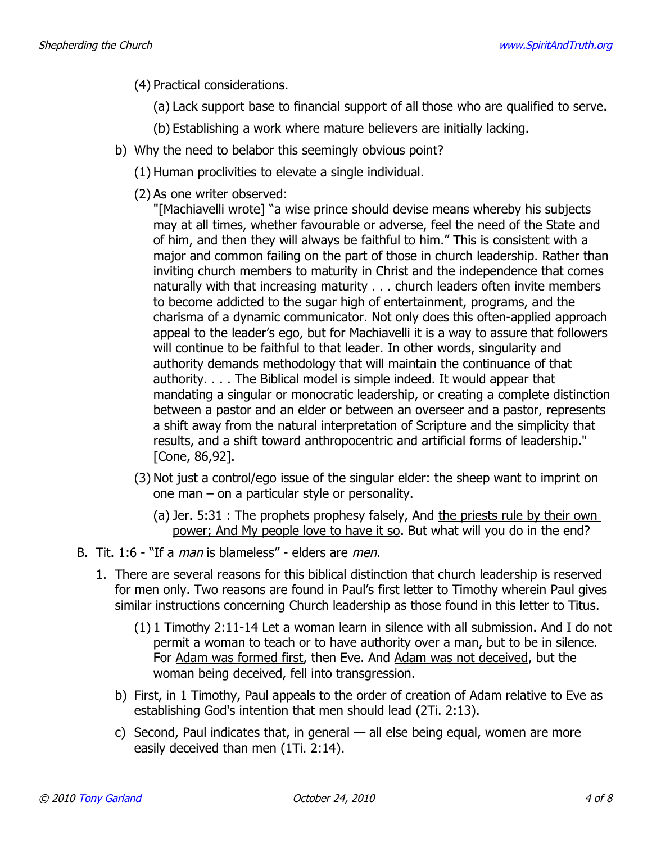- (4) Practical considerations.
	- (a) Lack support base to financial support of all those who are qualified to serve.
	- (b) Establishing a work where mature believers are initially lacking.
- b) Why the need to belabor this seemingly obvious point?
	- (1) Human proclivities to elevate a single individual.
	- (2) As one writer observed:

"[Machiavelli wrote] "a wise prince should devise means whereby his subjects may at all times, whether favourable or adverse, feel the need of the State and of him, and then they will always be faithful to him." This is consistent with a major and common failing on the part of those in church leadership. Rather than inviting church members to maturity in Christ and the independence that comes naturally with that increasing maturity . . . church leaders often invite members to become addicted to the sugar high of entertainment, programs, and the charisma of a dynamic communicator. Not only does this often-applied approach appeal to the leader's ego, but for Machiavelli it is a way to assure that followers will continue to be faithful to that leader. In other words, singularity and authority demands methodology that will maintain the continuance of that authority. . . . The Biblical model is simple indeed. It would appear that mandating a singular or monocratic leadership, or creating a complete distinction between a pastor and an elder or between an overseer and a pastor, represents a shift away from the natural interpretation of Scripture and the simplicity that results, and a shift toward anthropocentric and artificial forms of leadership." [Cone, 86,92].

- (3) Not just a control/ego issue of the singular elder: the sheep want to imprint on one man – on a particular style or personality.
	- (a) Jer. 5:31 : The prophets prophesy falsely, And the priests rule by their own power; And My people love to have it so. But what will you do in the end?
- B. Tit. 1:6 "If a *man* is blameless" elders are *men*.
	- 1. There are several reasons for this biblical distinction that church leadership is reserved for men only. Two reasons are found in Paul's first letter to Timothy wherein Paul gives similar instructions concerning Church leadership as those found in this letter to Titus.
		- (1) 1 Timothy 2:11-14 Let a woman learn in silence with all submission. And I do not permit a woman to teach or to have authority over a man, but to be in silence. For Adam was formed first, then Eve. And Adam was not deceived, but the woman being deceived, fell into transgression.
		- b) First, in 1 Timothy, Paul appeals to the order of creation of Adam relative to Eve as establishing God's intention that men should lead (2Ti. 2:13).
		- c) Second, Paul indicates that, in general all else being equal, women are more easily deceived than men (1Ti. 2:14).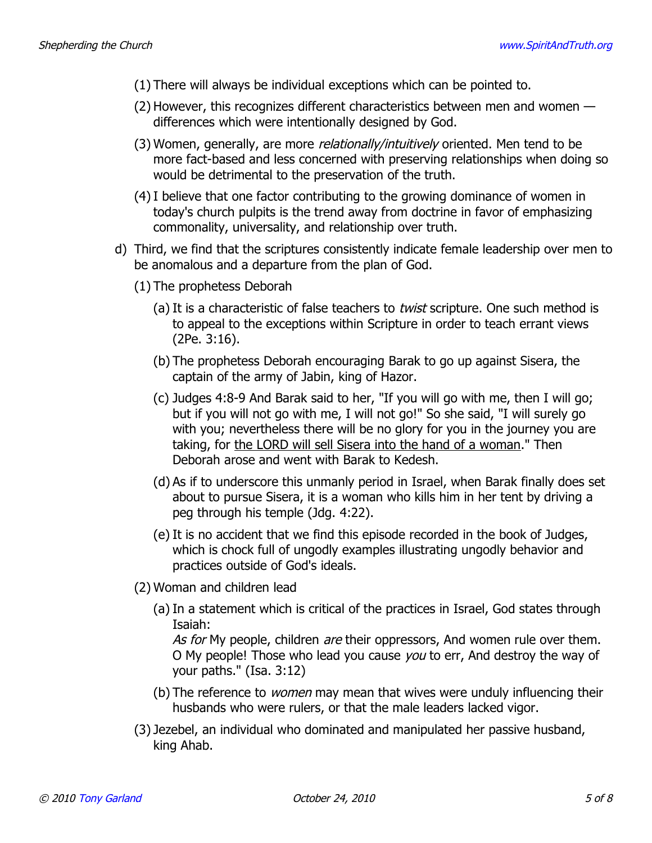- (1) There will always be individual exceptions which can be pointed to.
- (2) However, this recognizes different characteristics between men and women differences which were intentionally designed by God.
- (3) Women, generally, are more *relationally/intuitively* oriented. Men tend to be more fact-based and less concerned with preserving relationships when doing so would be detrimental to the preservation of the truth.
- (4) I believe that one factor contributing to the growing dominance of women in today's church pulpits is the trend away from doctrine in favor of emphasizing commonality, universality, and relationship over truth.
- d) Third, we find that the scriptures consistently indicate female leadership over men to be anomalous and a departure from the plan of God.
	- (1) The prophetess Deborah
		- (a) It is a characteristic of false teachers to *twist* scripture. One such method is to appeal to the exceptions within Scripture in order to teach errant views (2Pe. 3:16).
		- (b) The prophetess Deborah encouraging Barak to go up against Sisera, the captain of the army of Jabin, king of Hazor.
		- (c) Judges 4:8-9 And Barak said to her, "If you will go with me, then I will go; but if you will not go with me, I will not go!" So she said, "I will surely go with you; nevertheless there will be no glory for you in the journey you are taking, for the LORD will sell Sisera into the hand of a woman." Then Deborah arose and went with Barak to Kedesh.
		- (d) As if to underscore this unmanly period in Israel, when Barak finally does set about to pursue Sisera, it is a woman who kills him in her tent by driving a peg through his temple (Jdg. 4:22).
		- (e) It is no accident that we find this episode recorded in the book of Judges, which is chock full of ungodly examples illustrating ungodly behavior and practices outside of God's ideals.
	- (2) Woman and children lead
		- (a) In a statement which is critical of the practices in Israel, God states through Isaiah:

As for My people, children are their oppressors, And women rule over them. O My people! Those who lead you cause *you* to err, And destroy the way of your paths." (Isa. 3:12)

- (b) The reference to *women* may mean that wives were unduly influencing their husbands who were rulers, or that the male leaders lacked vigor.
- (3) Jezebel, an individual who dominated and manipulated her passive husband, king Ahab.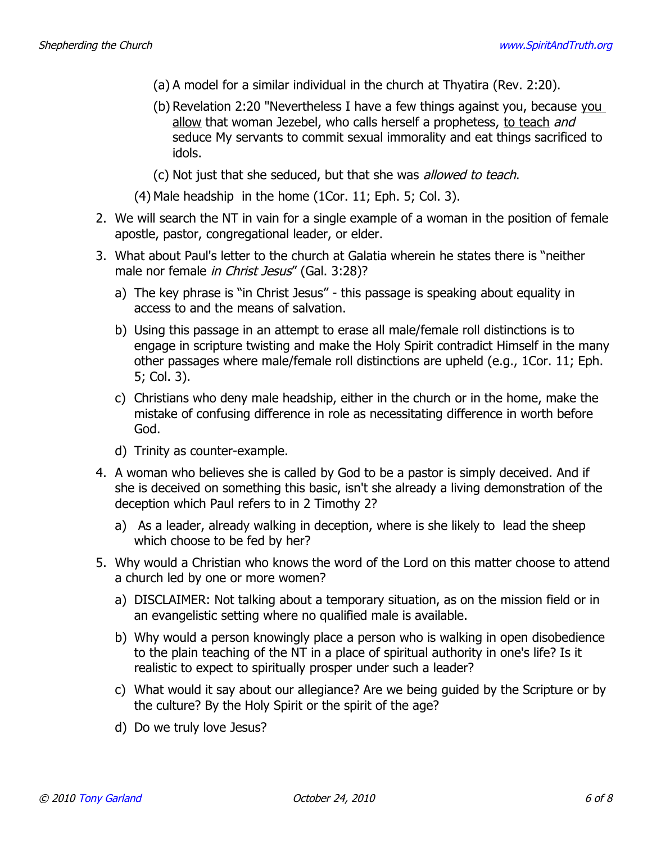- (a) A model for a similar individual in the church at Thyatira (Rev. 2:20).
- (b) Revelation 2:20 "Nevertheless I have a few things against you, because you allow that woman Jezebel, who calls herself a prophetess, to teach and seduce My servants to commit sexual immorality and eat things sacrificed to idols.
- (c) Not just that she seduced, but that she was allowed to teach.
- (4) Male headship in the home (1Cor. 11; Eph. 5; Col. 3).
- 2. We will search the NT in vain for a single example of a woman in the position of female apostle, pastor, congregational leader, or elder.
- 3. What about Paul's letter to the church at Galatia wherein he states there is "neither male nor female in Christ Jesus" (Gal. 3:28)?
	- a) The key phrase is "in Christ Jesus" this passage is speaking about equality in access to and the means of salvation.
	- b) Using this passage in an attempt to erase all male/female roll distinctions is to engage in scripture twisting and make the Holy Spirit contradict Himself in the many other passages where male/female roll distinctions are upheld (e.g., 1Cor. 11; Eph. 5; Col. 3).
	- c) Christians who deny male headship, either in the church or in the home, make the mistake of confusing difference in role as necessitating difference in worth before God.
	- d) Trinity as counter-example.
- 4. A woman who believes she is called by God to be a pastor is simply deceived. And if she is deceived on something this basic, isn't she already a living demonstration of the deception which Paul refers to in 2 Timothy 2?
	- a) As a leader, already walking in deception, where is she likely to lead the sheep which choose to be fed by her?
- 5. Why would a Christian who knows the word of the Lord on this matter choose to attend a church led by one or more women?
	- a) DISCLAIMER: Not talking about a temporary situation, as on the mission field or in an evangelistic setting where no qualified male is available.
	- b) Why would a person knowingly place a person who is walking in open disobedience to the plain teaching of the NT in a place of spiritual authority in one's life? Is it realistic to expect to spiritually prosper under such a leader?
	- c) What would it say about our allegiance? Are we being guided by the Scripture or by the culture? By the Holy Spirit or the spirit of the age?
	- d) Do we truly love Jesus?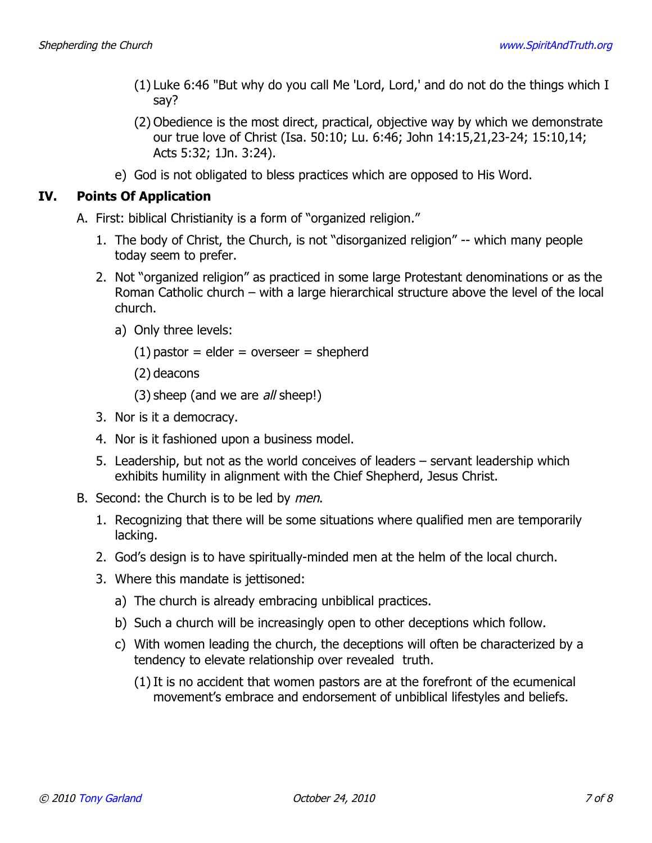- (1) Luke 6:46 "But why do you call Me 'Lord, Lord,' and do not do the things which I say?
- (2) Obedience is the most direct, practical, objective way by which we demonstrate our true love of Christ (Isa. 50:10; Lu. 6:46; John 14:15,21,23-24; 15:10,14; Acts 5:32; 1Jn. 3:24).
- e) God is not obligated to bless practices which are opposed to His Word.

## **IV. Points Of Application**

- A. First: biblical Christianity is a form of "organized religion."
	- 1. The body of Christ, the Church, is not "disorganized religion" -- which many people today seem to prefer.
	- 2. Not "organized religion" as practiced in some large Protestant denominations or as the Roman Catholic church – with a large hierarchical structure above the level of the local church.
		- a) Only three levels:
			- $(1)$  pastor = elder = overseer = shepherd
			- (2) deacons
			- (3) sheep (and we are *all* sheep!)
	- 3. Nor is it a democracy.
	- 4. Nor is it fashioned upon a business model.
	- 5. Leadership, but not as the world conceives of leaders servant leadership which exhibits humility in alignment with the Chief Shepherd, Jesus Christ.
- B. Second: the Church is to be led by men.
	- 1. Recognizing that there will be some situations where qualified men are temporarily lacking.
	- 2. God's design is to have spiritually-minded men at the helm of the local church.
	- 3. Where this mandate is jettisoned:
		- a) The church is already embracing unbiblical practices.
		- b) Such a church will be increasingly open to other deceptions which follow.
		- c) With women leading the church, the deceptions will often be characterized by a tendency to elevate relationship over revealed truth.
			- (1) It is no accident that women pastors are at the forefront of the ecumenical movement's embrace and endorsement of unbiblical lifestyles and beliefs.